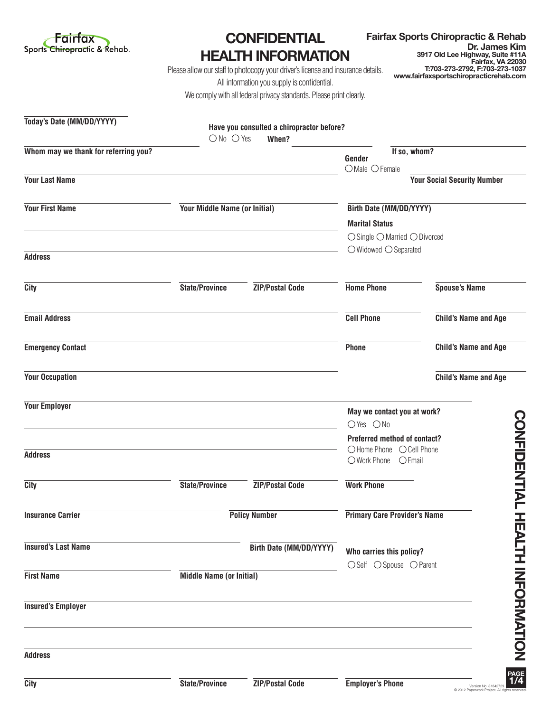

## **CONFIDENTIAL HEALTH INFORMATION**

**Fairfax Sports Chiropractic & Rehab Dr. James Kim 3917 Old Lee Highway, Suite #11A Fairfax, VA 22030 T:703-273-2792, F:703-273-1037 www.fairfaxsportschiropracticrehab.com**

Please allow our staff to photocopy your driver's license and insurance details. All information you supply is confidential. We comply with all federal privacy standards. Please print clearly.

| Today's Date (MM/DD/YYYY)            |                                 | Have you consulted a chiropractor before? |                                                                                  |                                    |
|--------------------------------------|---------------------------------|-------------------------------------------|----------------------------------------------------------------------------------|------------------------------------|
| Whom may we thank for referring you? | $\bigcirc$ No $\bigcirc$ Yes    | When?                                     | If so, whom?<br>Gender                                                           |                                    |
| <b>Your Last Name</b>                |                                 |                                           | $O$ Male $O$ Female                                                              | <b>Your Social Security Number</b> |
| <b>Your First Name</b>               | Your Middle Name (or Initial)   |                                           | Birth Date (MM/DD/YYYY)                                                          |                                    |
|                                      |                                 |                                           | <b>Marital Status</b>                                                            |                                    |
|                                      |                                 |                                           | $\bigcirc$ Single $\bigcirc$ Married $\bigcirc$ Divorced                         |                                    |
| <b>Address</b>                       |                                 |                                           | $\bigcirc$ Widowed $\bigcirc$ Separated                                          |                                    |
| City                                 | <b>State/Province</b>           | <b>ZIP/Postal Code</b>                    | <b>Home Phone</b>                                                                | <b>Spouse's Name</b>               |
| <b>Email Address</b>                 |                                 |                                           | <b>Cell Phone</b>                                                                | <b>Child's Name and Age</b>        |
| <b>Emergency Contact</b>             |                                 |                                           | <b>Phone</b>                                                                     | <b>Child's Name and Age</b>        |
| <b>Your Occupation</b>               |                                 |                                           |                                                                                  | <b>Child's Name and Age</b>        |
| <b>Your Employer</b>                 |                                 |                                           | May we contact you at work?<br>OYes ONo                                          |                                    |
| <b>Address</b>                       |                                 |                                           | Preferred method of contact?<br>○Home Phone ○ Cell Phone<br>○ Work Phone ○ Email | <b>CONFIDENTIAL</b>                |
| City                                 | State/Province                  | <b>ZIP/Postal Code</b>                    | <b>Work Phone</b>                                                                |                                    |
| <b>Insurance Carrier</b>             |                                 | <b>Policy Number</b>                      | <b>Primary Care Provider's Name</b>                                              |                                    |
| <b>Insured's Last Name</b>           |                                 | Birth Date (MM/DD/YYYY)                   | Who carries this policy?                                                         |                                    |
| <b>First Name</b>                    | <b>Middle Name (or Initial)</b> |                                           | ○Self ○ Spouse ○ Parent                                                          |                                    |
| <b>Insured's Employer</b>            |                                 |                                           |                                                                                  | <b>HEALIH INFORMATION</b>          |
| <b>Address</b>                       |                                 |                                           |                                                                                  |                                    |
| <b>City</b>                          | <b>State/Province</b>           | <b>ZIP/Postal Code</b>                    | <b>Employer's Phone</b>                                                          | PAGE<br>1/4<br>Version No. 818427  |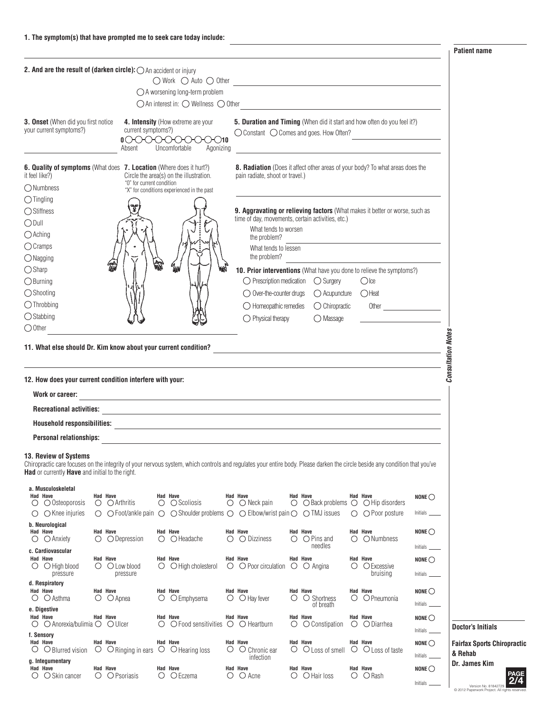**Patient name**

| 2. And are the result of (darken circle): O An accident or injury                                                                                                                                                                                       |          |                                                                                                                                                     | $\bigcirc$ Work $\bigcirc$ Auto $\bigcirc$ Other                                                                                                                                                                              |                                                                                                                                                                                                                                                       |         |                                                                                     |                                                |                                      |                                                                                                       |
|---------------------------------------------------------------------------------------------------------------------------------------------------------------------------------------------------------------------------------------------------------|----------|-----------------------------------------------------------------------------------------------------------------------------------------------------|-------------------------------------------------------------------------------------------------------------------------------------------------------------------------------------------------------------------------------|-------------------------------------------------------------------------------------------------------------------------------------------------------------------------------------------------------------------------------------------------------|---------|-------------------------------------------------------------------------------------|------------------------------------------------|--------------------------------------|-------------------------------------------------------------------------------------------------------|
|                                                                                                                                                                                                                                                         |          |                                                                                                                                                     | $\bigcirc$ A worsening long-term problem<br>$\bigcirc$ An interest in: $\bigcirc$ Wellness $\bigcirc$ Other                                                                                                                   |                                                                                                                                                                                                                                                       |         |                                                                                     |                                                |                                      |                                                                                                       |
| <b>3. Onset</b> (When did you first notice<br>your current symptoms?)                                                                                                                                                                                   |          | current symptoms?)<br>$\mathfrak{g}\circlearrowright\circlearrowright\circlearrowright\circlearrowright\circlearrowright\circlearrowleft$<br>Absent | 4. Intensity (How extreme are your<br>Uncomfortable<br>Agonizing                                                                                                                                                              | 5. Duration and Timing (When did it start and how often do you feel it?)<br>◯ Constant ◯ Comes and goes. How Often?                                                                                                                                   |         |                                                                                     |                                                |                                      |                                                                                                       |
| 6. Quality of symptoms (What does 7. Location (Where does it hurt?)<br>it feel like?)<br>O Numbness                                                                                                                                                     |          | "0" for current condition                                                                                                                           | Circle the area(s) on the illustration.                                                                                                                                                                                       | 8. Radiation (Does it affect other areas of your body? To what areas does the<br>pain radiate, shoot or travel.)                                                                                                                                      |         |                                                                                     |                                                |                                      |                                                                                                       |
| $\bigcirc$ Tingling<br>◯ Stiffness<br>$\bigcirc$ Dull<br>$\bigcirc$ Aching<br>$\bigcirc$ Cramps                                                                                                                                                         |          |                                                                                                                                                     | "X" for conditions experienced in the past                                                                                                                                                                                    | 9. Aggravating or relieving factors (What makes it better or worse, such as<br>time of day, movements, certain activities, etc.)<br>What tends to worsen<br>the problem?<br>What tends to lessen                                                      |         |                                                                                     |                                                |                                      |                                                                                                       |
| $\bigcirc$ Nagging<br>$\bigcirc$ Sharp<br>$\bigcirc$ Burning<br>$\bigcirc$ Shooting<br>$\bigcirc$ Throbbing<br>$\bigcirc$ Stabbing                                                                                                                      |          |                                                                                                                                                     | qш                                                                                                                                                                                                                            | the problem?<br>10. Prior interventions (What have you done to relieve the symptoms?)<br>$\bigcirc$ Prescription medication $\bigcirc$ Surgery<br>$\bigcirc$ Over-the-counter drugs<br>$\bigcirc$ Homeopathic remedies<br>$\bigcirc$ Physical therapy |         | $\bigcirc$ Acupuncture<br>$\bigcirc$ Chiropractic<br>$\bigcirc$ Massage             | $\bigcirc$ Ice<br>()Heat                       |                                      |                                                                                                       |
| $\bigcirc$ Other<br>11. What else should Dr. Kim know about your current condition?                                                                                                                                                                     |          |                                                                                                                                                     |                                                                                                                                                                                                                               |                                                                                                                                                                                                                                                       |         |                                                                                     |                                                |                                      | <b>Consultation Notes</b>                                                                             |
| 12. How does your current condition interfere with your:<br>Work or career:<br><b>Recreational activities:</b><br>Personal relationships:                                                                                                               |          |                                                                                                                                                     | the control of the control of the control of the control of the control of the control of the control of the control of the control of the control of the control of the control of the control of the control of the control |                                                                                                                                                                                                                                                       |         |                                                                                     |                                                |                                      |                                                                                                       |
| 13. Review of Systems<br>Chiropractic care focuses on the integrity of your nervous system, which controls and regulates your entire body. Please darken the circle beside any condition that you've<br>Had or currently Have and initial to the right. |          |                                                                                                                                                     |                                                                                                                                                                                                                               |                                                                                                                                                                                                                                                       |         |                                                                                     |                                                |                                      |                                                                                                       |
| a. Musculoskeletal<br>Had Have<br>$\bigcirc$ $\bigcirc$ Osteoporosis<br>$\bigcirc$ $\bigcirc$ Knee injuries                                                                                                                                             | Had Have | $\bigcirc$ $\bigcirc$ Arthritis                                                                                                                     | Had Have<br>$\circ$ $\circ$ Scoliosis<br>$\bigcirc$ $\bigcirc$ Foot/ankle pain $\bigcirc$ $\bigcirc$ Shoulder problems $\bigcirc$ $\bigcirc$ Elbow/wrist pain $\bigcirc$ $\bigcirc$ TMJ issues                                | Had Have<br>$\bigcirc$ $\bigcirc$ Neck pain                                                                                                                                                                                                           |         | Had Have<br>$\bigcirc$ $\bigcirc$ Back problems $\bigcirc$ $\bigcirc$ Hip disorders | Had Have<br>$\bigcirc$ $\bigcirc$ Poor posture | NONE $\bigcirc$                      |                                                                                                       |
| b. Neurological<br><b>Had Have</b><br>$\bigcirc$ Anxiety<br>Ő<br>c. Cardiovascular                                                                                                                                                                      | Had Have | $\bigcirc$ $\bigcirc$ Depression                                                                                                                    | Had Have<br>$\bigcirc$ $\bigcirc$ Headache                                                                                                                                                                                    | <b>Had Have</b><br>$\bigcirc$ $\bigcirc$ Dizziness                                                                                                                                                                                                    | $\circ$ | Had Have<br>$\bigcirc$ Pins and<br>needles                                          | Had Have<br>$\bigcirc$ $\bigcirc$ Numbness     | NONE $\bigcirc$                      |                                                                                                       |
| Had Have<br>$\bigcirc$ $\bigcirc$ High blood<br>pressure                                                                                                                                                                                                | Had Have | $\bigcirc$ $\bigcirc$ Low blood<br>pressure                                                                                                         | Had Have<br>$\bigcirc$ $\bigcirc$ High cholesterol                                                                                                                                                                            | Had Have<br>$\bigcirc$ $\bigcirc$ Poor circulation                                                                                                                                                                                                    |         | Had Have<br>$\circ$ $\circ$ Angina                                                  | Had Have<br>O O Excessive<br>bruising          | NONE $\bigcirc$<br>Initials _        |                                                                                                       |
| d. Respiratory<br>Had Have<br>$\bigcirc$ $\bigcirc$ Asthma                                                                                                                                                                                              | Had Have | $\circ$ $\circ$ Apnea                                                                                                                               | Had Have<br>O C Emphysema                                                                                                                                                                                                     | Had Have<br>$\bigcirc$ $\bigcirc$ Hay fever                                                                                                                                                                                                           |         | Had Have<br>$\circ$ $\circ$ Shortness<br>of breath                                  | Had Have<br>$\circ$ $\circ$ Pneumonia          | NONE $\bigcirc$                      |                                                                                                       |
| e. Digestive<br>Had Have<br>$\circ$ $\circ$ Anorexia/bulimia $\circ$ $\circ$ Ulcer                                                                                                                                                                      | Had Have |                                                                                                                                                     | Had Have<br>$\circ$ $\circ$ $\circ$ Food sensitivities $\circ$ $\circ$ Heartburn                                                                                                                                              | Had Have                                                                                                                                                                                                                                              | Ő       | Had Have<br>○ Constipation                                                          | Had Have<br>$\bigcirc$ $\bigcirc$ Diarrhea     | NONE $\bigcirc$                      | <b>Doctor's Initials</b>                                                                              |
| f. Sensory<br>Had Have<br>$\cup$ Blurred vision<br>U                                                                                                                                                                                                    | Had Have | ○ ○ Ringing in ears ○ ○ Hearing loss                                                                                                                | Had Have                                                                                                                                                                                                                      | Had Have<br>$\circ$ $\circ$ Chronic ear<br>infection                                                                                                                                                                                                  |         | Had Have<br>O O Loss of smell O O Loss of taste                                     | Had Have                                       | NONE $\bigcirc$<br>Initials          | <b>Fairfax Sports Chiropractic</b><br>& Rehab                                                         |
| g. Integumentary<br>Had Have<br>$\bigcirc$ $\bigcirc$ Skin cancer                                                                                                                                                                                       | Had Have | $\bigcirc$ $\bigcirc$ Psoriasis                                                                                                                     | Had Have<br>$\bigcirc$ $\bigcirc$ Eczema                                                                                                                                                                                      | Had Have<br>$\bigcirc$ $\bigcirc$ Acne                                                                                                                                                                                                                |         | Had Have<br>$\bigcirc$ $\bigcirc$ Hair loss                                         | Had Have<br>$\bigcirc$ $\bigcirc$ Rash         | NONE $\bigcirc$<br>Initials $\equiv$ | Dr. James Kim<br>PAGE<br>2/4<br>Version No. 81842729<br>C 2012 Paperwork Project. All rights reserved |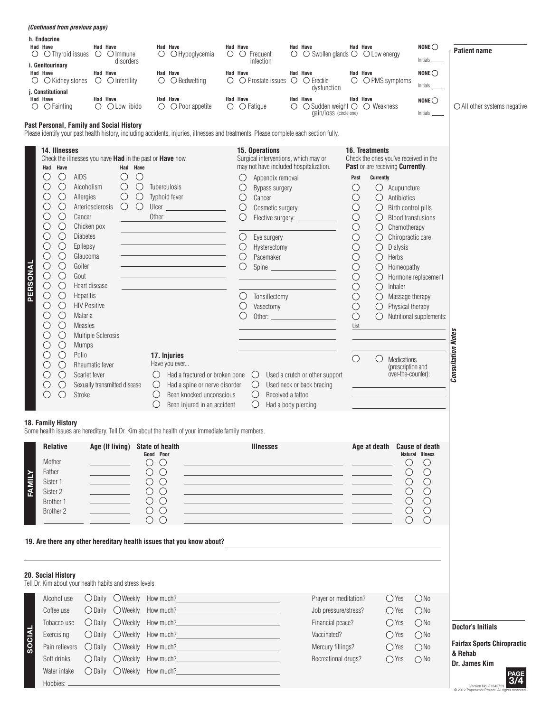|          | <i>(Continued from previous page)</i>                                                                                                                                                                                                                                                                                                                                                                                                                                                                                                                                                                                      |                                                                                                                                                                                                                                                                    |                                                                              |                                                                                                                                          |                                                                                                                                                                           |                                                                                                                                                                             |                                                                                                                                                                                                                                                                                                                                                                                                                                                                 |         |                                                                                                                                                       |                                                                                                                                                                                                                                 |                                                                                                                                                                                                                                                                                                                                                                                                                                                                                                                                                                                         |                                                                                                          |                                                                                            |
|----------|----------------------------------------------------------------------------------------------------------------------------------------------------------------------------------------------------------------------------------------------------------------------------------------------------------------------------------------------------------------------------------------------------------------------------------------------------------------------------------------------------------------------------------------------------------------------------------------------------------------------------|--------------------------------------------------------------------------------------------------------------------------------------------------------------------------------------------------------------------------------------------------------------------|------------------------------------------------------------------------------|------------------------------------------------------------------------------------------------------------------------------------------|---------------------------------------------------------------------------------------------------------------------------------------------------------------------------|-----------------------------------------------------------------------------------------------------------------------------------------------------------------------------|-----------------------------------------------------------------------------------------------------------------------------------------------------------------------------------------------------------------------------------------------------------------------------------------------------------------------------------------------------------------------------------------------------------------------------------------------------------------|---------|-------------------------------------------------------------------------------------------------------------------------------------------------------|---------------------------------------------------------------------------------------------------------------------------------------------------------------------------------------------------------------------------------|-----------------------------------------------------------------------------------------------------------------------------------------------------------------------------------------------------------------------------------------------------------------------------------------------------------------------------------------------------------------------------------------------------------------------------------------------------------------------------------------------------------------------------------------------------------------------------------------|----------------------------------------------------------------------------------------------------------|--------------------------------------------------------------------------------------------|
| O<br>Ő   | h. Endocrine<br><b>Had Have</b><br>$\bigcirc$ Thyroid issues $\bigcirc$ $\bigcirc$ Immune<br>i. Genitourinary<br><b>Had Have</b><br>$\bigcirc$ Kidney stones                                                                                                                                                                                                                                                                                                                                                                                                                                                               |                                                                                                                                                                                                                                                                    | Had Have<br>Had Have                                                         | disorders<br>$\circ$ $\circ$ Infertility                                                                                                 | $\circ$                                                                                                                                                                   | <b>Had Have</b><br>O Hypoglycemia<br><b>Had Have</b><br>$\bigcirc$ $\bigcirc$ Bedwetting                                                                                    | <b>Had Have</b><br>$\circ$ $\circ$ Frequent<br>infection<br><b>Had Have</b><br>$\circ$ $\circ$ Prostate issues $\circ$                                                                                                                                                                                                                                                                                                                                          | $\circ$ | <b>Had Have</b><br>$\bigcirc$ Swollen glands $\bigcirc$ $\bigcirc$ Low energy<br>Had Have<br>○ Erectile                                               | $\circ$                                                                                                                                                                                                                         | <b>Had Have</b><br><b>Had Have</b><br>O PMS symptoms                                                                                                                                                                                                                                                                                                                                                                                                                                                                                                                                    | NONE $\bigcirc$<br>Initials $\_$<br>NONE $\bigcirc$                                                      | <b>Patient name</b>                                                                        |
|          | j. Constitutional<br>Had Have<br>$\circ$ $\circ$ Fainting                                                                                                                                                                                                                                                                                                                                                                                                                                                                                                                                                                  |                                                                                                                                                                                                                                                                    | Had Have                                                                     | $\bigcirc$ $\bigcirc$ Low libido                                                                                                         |                                                                                                                                                                           | Had Have<br>$\bigcirc$ $\bigcirc$ Poor appetite                                                                                                                             | Had Have<br>$\circ$ $\circ$ Fatigue                                                                                                                                                                                                                                                                                                                                                                                                                             |         | dysfunction<br>Had Have<br>$\circ$ $\circ$ Sudden weight $\circ$ $\circ$ Weakness<br>gain/loss (circle one)                                           |                                                                                                                                                                                                                                 | Had Have                                                                                                                                                                                                                                                                                                                                                                                                                                                                                                                                                                                | <b>Initials</b><br>NONE $\bigcirc$<br>Initials $-$                                                       | $\bigcirc$ All other systems negative                                                      |
|          | Past Personal, Family and Social History                                                                                                                                                                                                                                                                                                                                                                                                                                                                                                                                                                                   |                                                                                                                                                                                                                                                                    |                                                                              |                                                                                                                                          |                                                                                                                                                                           | Please identify your past health history, including accidents, injuries, illnesses and treatments. Please complete each section fully.                                      |                                                                                                                                                                                                                                                                                                                                                                                                                                                                 |         |                                                                                                                                                       |                                                                                                                                                                                                                                 |                                                                                                                                                                                                                                                                                                                                                                                                                                                                                                                                                                                         |                                                                                                          |                                                                                            |
| PERSONAL | 14. Illnesses<br>Check the illnesses you have Had in the past or Have now.<br>Have<br>Had<br>O<br>O<br>$\bigcirc$<br>O<br>$\bigcirc$<br>$\bigcirc$<br>$\bigcirc$<br>$\bigcirc$<br>O<br>О<br>$\bigcirc$<br>$\bigcirc$<br>O<br>$\bigcirc$<br>$\bigcirc$<br>$\bigcirc$<br>$\bigcirc$<br>$\bigcirc$<br>$\bigcirc$<br>$\bigcirc$<br>$\bigcirc$<br>$\bigcirc$<br>$\bigcirc$<br>$\bigcirc$<br>$\bigcirc$<br>$\bigcirc$<br>O<br>$\bigcirc$<br>$\bigcirc$<br>$\bigcirc$<br>O<br>$\bigcirc$<br>$\bigcirc$<br>$\bigcirc$<br>O<br>$\bigcirc$<br>O<br>$\bigcirc$<br>$\left(\right)$<br>O<br>$\bigcirc$<br>O<br>$\bigcirc$<br>$\bigcirc$ | <b>AIDS</b><br>Alcoholism<br>Allergies<br>Cancer<br>Chicken pox<br><b>Diabetes</b><br>Epilepsy<br>Glaucoma<br>Goiter<br>Gout<br>Heart disease<br>Hepatitis<br><b>HIV Positive</b><br>Malaria<br><b>Measles</b><br><b>Mumps</b><br>Polio<br>Scarlet fever<br>Stroke | Arteriosclerosis<br><b>Multiple Sclerosis</b><br>Rheumatic fever             | Had Have<br>$\bigcirc$<br>O<br>$\bigcirc$<br>$\bigcirc$<br>$\bigcirc$<br>$\bigcirc$<br>$\bigcirc$<br>Sexually transmitted disease        | Tuberculosis<br>Typhoid fever<br>Other:<br>$\left(\right)$<br>$\cup$<br>$\bigcirc$<br>()                                                                                  | 17. Injuries<br>Have you ever<br>Had a fractured or broken bone<br>Had a spine or nerve disorder<br>Been knocked unconscious<br>Been injured in an accident                 | 15. Operations<br>Surgical interventions, which may or<br>may not have included hospitalization.<br>Appendix removal<br>O<br>Bypass surgery<br>$\bigcirc$<br>$\bigcirc$<br>Cancer<br>$\bigcirc$<br>Cosmetic surgery<br>Eye surgery<br>$\bigcirc$<br>$\bigcirc$<br>Hysterectomy<br>$\bigcirc$<br>Pacemaker<br>Tonsillectomy<br>$\cup$<br>$\bigcirc$<br>Vasectomy<br>$\cup$<br>$\bigcirc$<br>$\bigcirc$<br>Received a tattoo<br>$\bigcirc$<br>Had a body piercing |         | Elective surgery: ____________<br>Spine<br><u> 1989 - Johann Barn, mars ann an t-A</u><br>Used a crutch or other support<br>Used neck or back bracing | Past<br>$\bigcirc$<br>$\bigcirc$<br>$\bigcirc$<br>$\bigcirc$<br>$\bigcirc$<br>$\bigcirc$<br>$\bigcirc$<br>$\bigcirc$<br>$\bigcirc$<br>$\bigcirc$<br>$\bigcirc$<br>$\bigcirc$<br>$\bigcirc$<br>$\bigcirc$<br>List:<br>$\bigcirc$ | 16. Treatments<br>Check the ones you've received in the<br>Past or are receiving Currently.<br>Currently<br>O<br>Acupuncture<br>$\bigcirc$<br>Antibiotics<br>$\bigcirc$<br>Birth control pills<br>$\bigcirc$<br><b>Blood transfusions</b><br>$\bigcirc$<br>Chemotherapy<br>$\bigcirc$<br>Chiropractic care<br>$\bigcirc$<br>Dialysis<br>$\bigcirc$<br>Herbs<br>$\bigcirc$<br>Homeopathy<br>$\bigcirc$<br>$\bigcirc$<br>Inhaler<br>$\bigcirc$<br>Massage therapy<br>$\bigcirc$<br>Physical therapy<br>$\bigcirc$<br>$\bigcirc$<br>Medications<br>(prescription and<br>over-the-counter): | Hormone replacement<br>Nutritional supplements:                                                          | <b>Consultation Notes</b>                                                                  |
| FAMILY   | <b>18. Family History</b><br><b>Relative</b><br>Mother<br>Father<br>Sister 1<br>Sister 2<br>Brother 1<br>Brother 2                                                                                                                                                                                                                                                                                                                                                                                                                                                                                                         |                                                                                                                                                                                                                                                                    | the control of the con-                                                      | Age (If living) State of health                                                                                                          | Good Poor<br>$\circ$<br>$\left( \right)$<br>$\circ$<br>$\bigcirc$<br>$\circ$ $\circ$<br>$\circ$ $\circ$<br>$\circ$ $\circ$<br>$\circ$<br>$\bigcirc$<br>$\left( \ \right)$ | Some health issues are hereditary. Tell Dr. Kim about the health of your immediate family members.<br>19. Are there any other hereditary health issues that you know about? | <b>Illnesses</b><br>the control of the control of the control of the control of the control of the control of<br><u> 1989 - Johann Stoff, deutscher Stoff, der Stoff, der Stoff, der Stoff, der Stoff, der Stoff, der Stoff, der S</u><br><u> 1989 - Johann Stoff, amerikansk politiker (* 1908)</u><br><u> 1989 - Johann Stein, mars an deus Amerikaansk kommunister (</u>                                                                                     |         |                                                                                                                                                       |                                                                                                                                                                                                                                 | Age at death Cause of death<br>$\left(\right)$<br>$\bigcirc$                                                                                                                                                                                                                                                                                                                                                                                                                                                                                                                            | Natural Illness<br>$\bigcirc$<br>$\bigcirc$<br>$\bigcirc$<br>$\bigcirc$<br>$\bigcirc$<br>$\bigcirc$<br>∩ |                                                                                            |
| SOCIAL   | 20. Social History<br>Tell Dr. Kim about your health habits and stress levels.<br>Alcohol use<br>Coffee use<br>Tobacco use<br>Exercising<br>Pain relievers<br>Soft drinks<br>Water intake                                                                                                                                                                                                                                                                                                                                                                                                                                  |                                                                                                                                                                                                                                                                    | $\bigcirc$ Daily<br>$\bigcirc$ Daily<br>$\bigcirc$ Daily<br>$\bigcirc$ Daily | $\bigcirc$ Daily $\bigcirc$ Weekly<br>$\bigcirc$ Daily $\bigcirc$ Weekly<br>OWeekly<br>OWeekly<br>$\bigcirc$ Weekly<br>$\bigcirc$ Weekly | How much?<br>How much?<br>How much?<br>How much?<br>How much?<br>How much?                                                                                                | O Daily O Weekly How much?<br><u>Case of the Contractor</u>                                                                                                                 | and the control of the control of the control of                                                                                                                                                                                                                                                                                                                                                                                                                |         | Prayer or meditation?<br>Job pressure/stress?<br>Financial peace?<br>Vaccinated?<br>Mercury fillings?<br>Recreational drugs?                          |                                                                                                                                                                                                                                 | $\bigcirc$ Yes<br>$\bigcirc$ Yes<br>$\bigcirc$ Yes<br>$\bigcirc$ Yes<br>$\bigcirc$ Yes<br>$\bigcirc$ Yes                                                                                                                                                                                                                                                                                                                                                                                                                                                                                | ONo<br>ONo<br>ONo<br>$\bigcirc$ No<br>$\bigcirc$ No<br>$\bigcirc$ No                                     | <b>Doctor's Initials</b><br><b>Fairfax Sports Chiropractic</b><br>& Rehab<br>Dr. James Kim |
|          | Hobbies:                                                                                                                                                                                                                                                                                                                                                                                                                                                                                                                                                                                                                   |                                                                                                                                                                                                                                                                    |                                                                              |                                                                                                                                          |                                                                                                                                                                           |                                                                                                                                                                             |                                                                                                                                                                                                                                                                                                                                                                                                                                                                 |         |                                                                                                                                                       |                                                                                                                                                                                                                                 |                                                                                                                                                                                                                                                                                                                                                                                                                                                                                                                                                                                         |                                                                                                          | Version No. 81842729<br>C 2012 Panerwork Project All rights res                            |